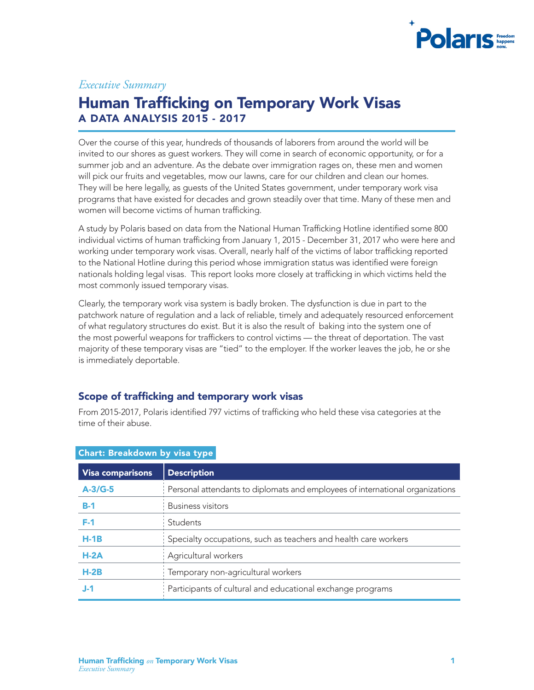

# *Executive Summary*

# Human Trafficking on Temporary Work Visas A DATA ANALYSIS 2015 - 2017

Over the course of this year, hundreds of thousands of laborers from around the world will be invited to our shores as guest workers. They will come in search of economic opportunity, or for a summer job and an adventure. As the debate over immigration rages on, these men and women will pick our fruits and vegetables, mow our lawns, care for our children and clean our homes. They will be here legally, as guests of the United States government, under temporary work visa programs that have existed for decades and grown steadily over that time. Many of these men and women will become victims of human trafficking.

A study by Polaris based on data from the National Human Trafficking Hotline identified some 800 individual victims of human trafficking from January 1, 2015 - December 31, 2017 who were here and working under temporary work visas. Overall, nearly half of the victims of labor trafficking reported to the National Hotline during this period whose immigration status was identified were foreign nationals holding legal visas. This report looks more closely at trafficking in which victims held the most commonly issued temporary visas.

Clearly, the temporary work visa system is badly broken. The dysfunction is due in part to the patchwork nature of regulation and a lack of reliable, timely and adequately resourced enforcement of what regulatory structures do exist. But it is also the result of baking into the system one of the most powerful weapons for traffickers to control victims — the threat of deportation. The vast majority of these temporary visas are "tied" to the employer. If the worker leaves the job, he or she is immediately deportable.

### Scope of trafficking and temporary work visas

From 2015-2017, Polaris identified 797 victims of trafficking who held these visa categories at the time of their abuse.

| Gildi G. Di Gardowii by visa type |                                                                               |  |  |  |
|-----------------------------------|-------------------------------------------------------------------------------|--|--|--|
| <b>Visa comparisons</b>           | <b>Description</b>                                                            |  |  |  |
| $A-3/G-5$                         | Personal attendants to diplomats and employees of international organizations |  |  |  |
| $B-1$                             | <b>Business visitors</b>                                                      |  |  |  |
| $F-1$                             | Students                                                                      |  |  |  |
| $H-1B$                            | Specialty occupations, such as teachers and health care workers               |  |  |  |
| $H-2A$                            | Agricultural workers                                                          |  |  |  |
| $H-2B$                            | Temporary non-agricultural workers                                            |  |  |  |
| J-1                               | Participants of cultural and educational exchange programs                    |  |  |  |

## Chart: Breakdown by visa type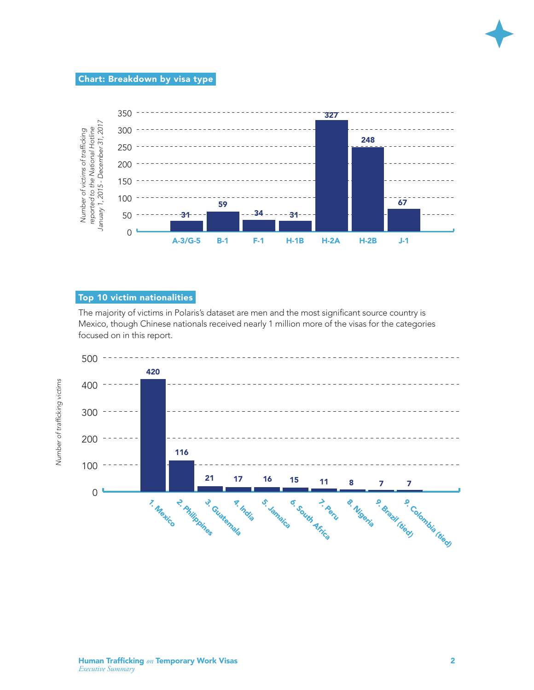

# Chart: Breakdown by visa type



## Top 10 victim nationalities

The majority of victims in Polaris's dataset are men and the most significant source country is Mexico, though Chinese nationals received nearly 1 million more of the visas for the categories focused on in this report.

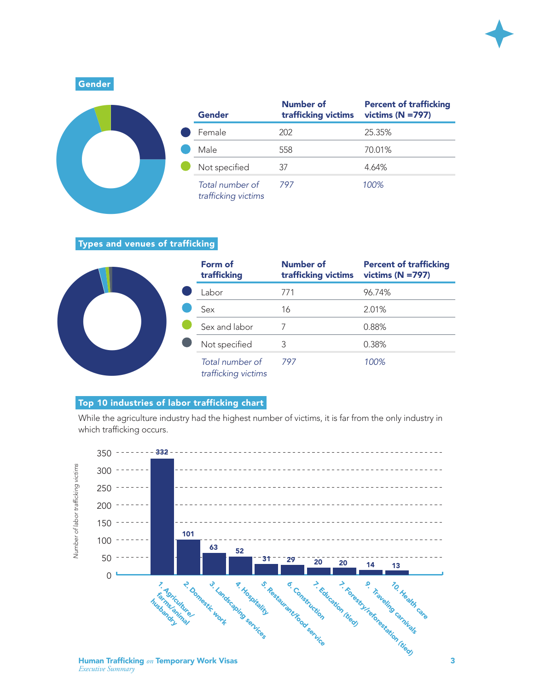

25+705A

Gender

|  | Gender                                 | Number of<br>trafficking victims | <b>Percent of trafficking</b><br>victims ( $N = 797$ ) |
|--|----------------------------------------|----------------------------------|--------------------------------------------------------|
|  | Female                                 | 202                              | 25.35%                                                 |
|  | Male                                   | 558                              | 70.01%                                                 |
|  | Not specified                          | 37                               | 4.64%                                                  |
|  | Total number of<br>trafficking victims | 797                              | 100%                                                   |

#### Types and venues of trafficking



### Top 10 industries of labor trafficking chart

While the agriculture industry had the highest number of victims, it is far from the only industry in which trafficking occurs.

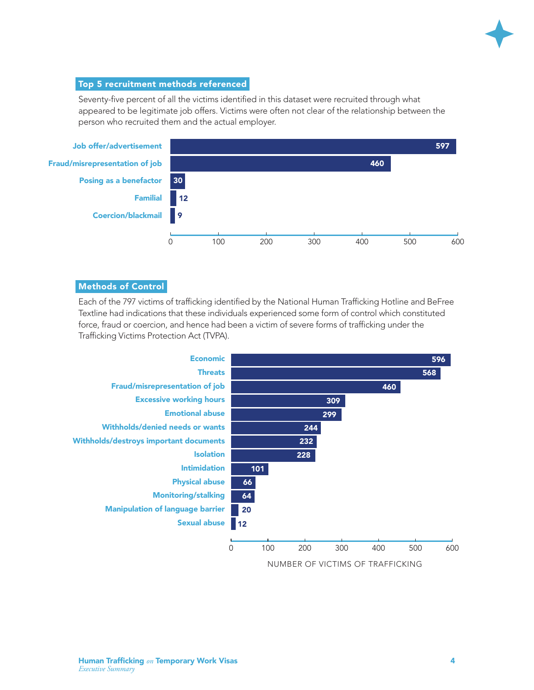

#### Top 5 recruitment methods referenced

Seventy-five percent of all the victims identified in this dataset were recruited through what appeared to be legitimate job offers. Victims were often not clear of the relationship between the person who recruited them and the actual employer.



#### Methods of Control

Each of the 797 victims of trafficking identified by the National Human Trafficking Hotline and BeFree Textline had indications that these individuals experienced some form of control which constituted force, fraud or coercion, and hence had been a victim of severe forms of trafficking under the Trafficking Victims Protection Act (TVPA).

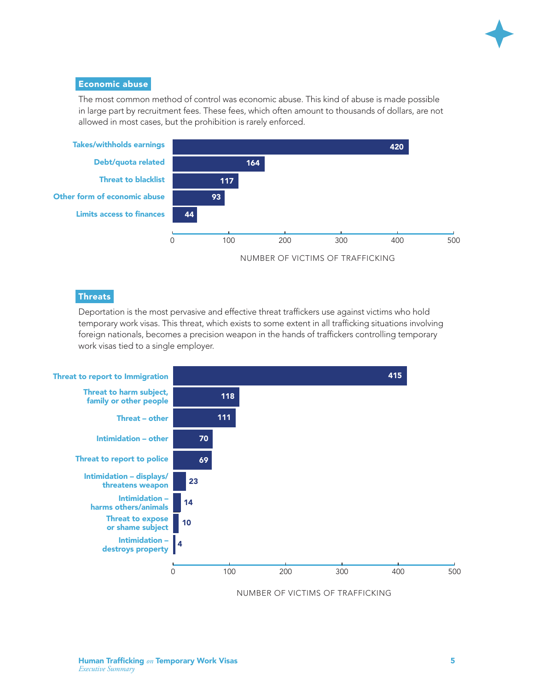

#### Economic abuse

The most common method of control was economic abuse. This kind of abuse is made possible in large part by recruitment fees. These fees, which often amount to thousands of dollars, are not allowed in most cases, but the prohibition is rarely enforced.



### **Threats**

Deportation is the most pervasive and effective threat traffickers use against victims who hold temporary work visas. This threat, which exists to some extent in all trafficking situations involving foreign nationals, becomes a precision weapon in the hands of traffickers controlling temporary work visas tied to a single employer.



NUMBER OF VICTIMS OF TRAFFICKING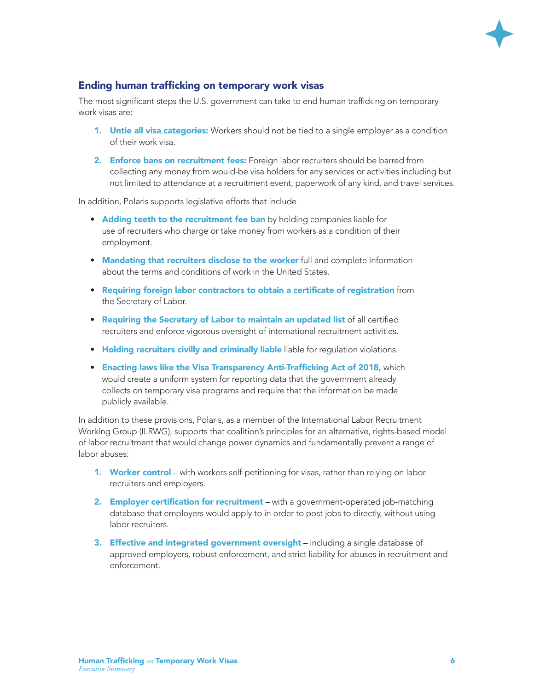

# Ending human trafficking on temporary work visas

The most significant steps the U.S. government can take to end human trafficking on temporary work visas are:

- **1.** Untie all visa categories: Workers should not be tied to a single employer as a condition of their work visa.
- 2. Enforce bans on recruitment fees: Foreign labor recruiters should be barred from collecting any money from would-be visa holders for any services or activities including but not limited to attendance at a recruitment event, paperwork of any kind, and travel services.

In addition, Polaris supports legislative efforts that include

- Adding teeth to the recruitment fee ban by holding companies liable for use of recruiters who charge or take money from workers as a condition of their employment.
- Mandating that recruiters disclose to the worker full and complete information about the terms and conditions of work in the United States.
- Requiring foreign labor contractors to obtain a certificate of registration from the Secretary of Labor.
- Requiring the Secretary of Labor to maintain an updated list of all certified recruiters and enforce vigorous oversight of international recruitment activities.
- Holding recruiters civilly and criminally liable liable for regulation violations.
- Enacting laws like the Visa Transparency Anti-Trafficking Act of 2018, which would create a uniform system for reporting data that the government already collects on temporary visa programs and require that the information be made publicly available.

In addition to these provisions, Polaris, as a member of the International Labor Recruitment Working Group (ILRWG), supports that coalition's principles for an alternative, rights-based model of labor recruitment that would change power dynamics and fundamentally prevent a range of labor abuses:

- 1. Worker control with workers self-petitioning for visas, rather than relying on labor recruiters and employers.
- 2. Employer certification for recruitment with a government-operated job-matching database that employers would apply to in order to post jobs to directly, without using labor recruiters.
- 3. Effective and integrated government oversight including a single database of approved employers, robust enforcement, and strict liability for abuses in recruitment and enforcement.